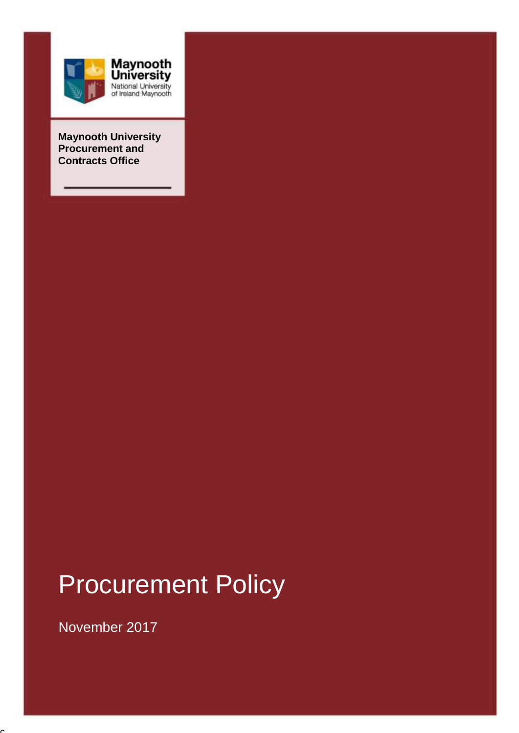

**Maynooth University Procurement and Contracts Office**

# Procurement Policy

1

November 2017

 $\overline{a}$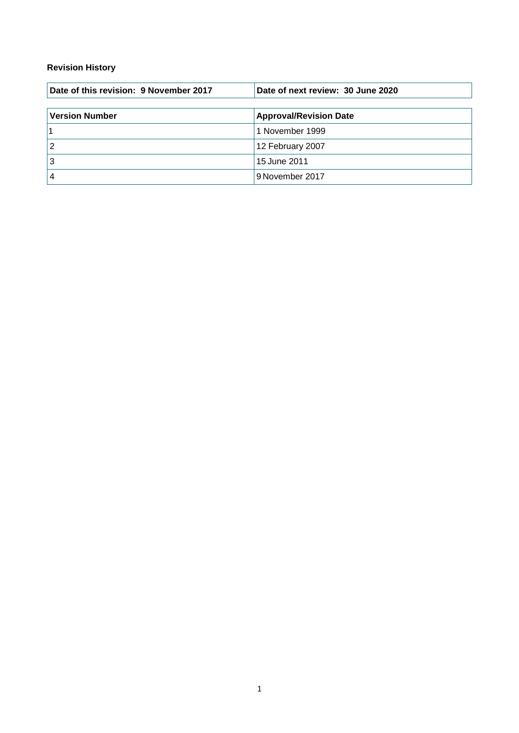#### **Revision History**

| Date of this revision: 9 November 2017 | Date of next review: 30 June 2020 |  |  |
|----------------------------------------|-----------------------------------|--|--|
| <b>Version Number</b>                  | <b>Approval/Revision Date</b>     |  |  |
|                                        | 1 November 1999                   |  |  |
| 2                                      | 12 February 2007                  |  |  |
| 3                                      | 15 June 2011                      |  |  |
|                                        | 9 November 2017                   |  |  |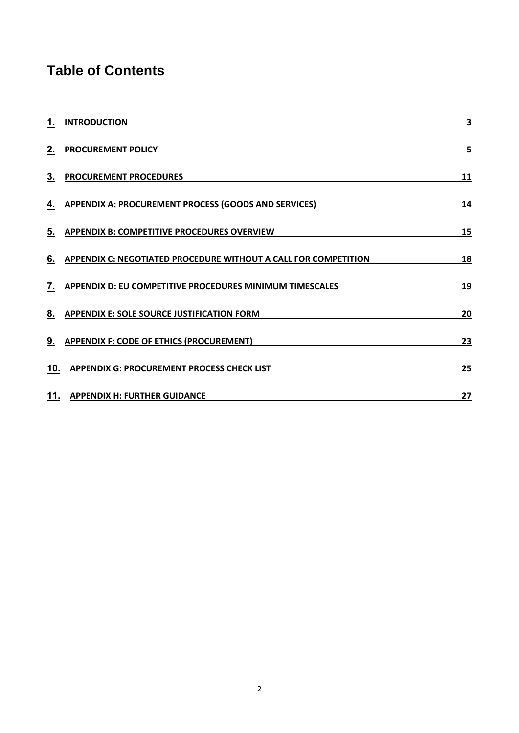# **Table of Contents**

| 1.             | <b>INTRODUCTION</b>                                                    | 3  |
|----------------|------------------------------------------------------------------------|----|
| 2.             | <b>PROCUREMENT POLICY</b>                                              | 5  |
| 3.             | <b>PROCUREMENT PROCEDURES</b>                                          | 11 |
|                | 4. APPENDIX A: PROCUREMENT PROCESS (GOODS AND SERVICES)                | 14 |
| 5.             | <b>APPENDIX B: COMPETITIVE PROCEDURES OVERVIEW</b>                     | 15 |
| 6.             | <b>APPENDIX C: NEGOTIATED PROCEDURE WITHOUT A CALL FOR COMPETITION</b> | 18 |
| 7.             | <b>APPENDIX D: EU COMPETITIVE PROCEDURES MINIMUM TIMESCALES</b>        | 19 |
| 8 <sub>1</sub> | <b>APPENDIX E: SOLE SOURCE JUSTIFICATION FORM</b>                      | 20 |
|                | 9. APPENDIX F: CODE OF ETHICS (PROCUREMENT)                            | 23 |
| 10.            | <b>APPENDIX G: PROCUREMENT PROCESS CHECK LIST</b>                      | 25 |
|                | 11. APPENDIX H: FURTHER GUIDANCE                                       | 27 |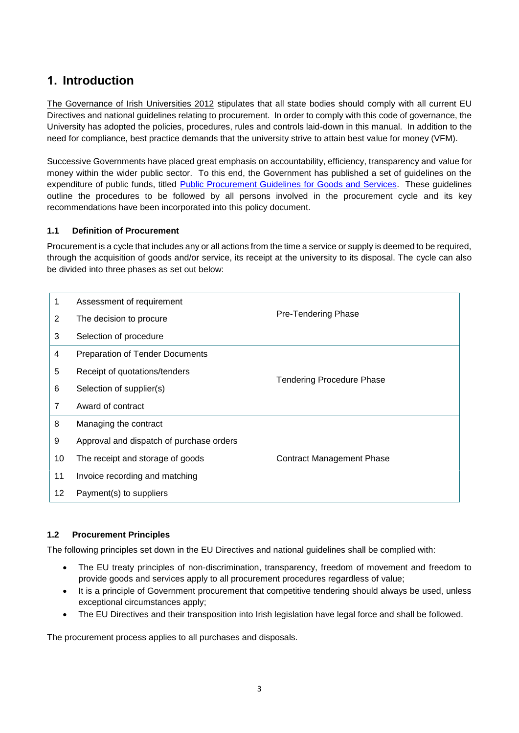# <span id="page-3-0"></span>**1. Introduction**

The Governance of Irish Universities 2012 stipulates that all state bodies should comply with all current EU Directives and national guidelines relating to procurement. In order to comply with this code of governance, the University has adopted the policies, procedures, rules and controls laid-down in this manual. In addition to the need for compliance, best practice demands that the university strive to attain best value for money (VFM).

Successive Governments have placed great emphasis on accountability, efficiency, transparency and value for money within the wider public sector. To this end, the Government has published a set of guidelines on the expenditure of public funds, titled [Public Procurement Guidelines for Goods and Services.](http://ogp.gov.ie/wp-content/uploads/OGP-Procurement-Guidelines-Web-Version-LINKS.pdf) These guidelines outline the procedures to be followed by all persons involved in the procurement cycle and its key recommendations have been incorporated into this policy document.

#### **1.1 Definition of Procurement**

Procurement is a cycle that includes any or all actions from the time a service or supply is deemed to be required, through the acquisition of goods and/or service, its receipt at the university to its disposal. The cycle can also be divided into three phases as set out below:

| 1  | Assessment of requirement                |                                  |  |
|----|------------------------------------------|----------------------------------|--|
| 2  | The decision to procure                  | Pre-Tendering Phase              |  |
| 3  | Selection of procedure                   |                                  |  |
| 4  | <b>Preparation of Tender Documents</b>   |                                  |  |
| 5  | Receipt of quotations/tenders            |                                  |  |
| 6  | Selection of supplier(s)                 | <b>Tendering Procedure Phase</b> |  |
| 7  | Award of contract                        |                                  |  |
| 8  | Managing the contract                    |                                  |  |
| 9  | Approval and dispatch of purchase orders |                                  |  |
| 10 | The receipt and storage of goods         | <b>Contract Management Phase</b> |  |
| 11 | Invoice recording and matching           |                                  |  |
| 12 | Payment(s) to suppliers                  |                                  |  |

#### **1.2 Procurement Principles**

The following principles set down in the EU Directives and national guidelines shall be complied with:

- The EU treaty principles of non-discrimination, transparency, freedom of movement and freedom to provide goods and services apply to all procurement procedures regardless of value;
- It is a principle of Government procurement that competitive tendering should always be used, unless exceptional circumstances apply;
- The EU Directives and their transposition into Irish legislation have legal force and shall be followed.

The procurement process applies to all purchases and disposals.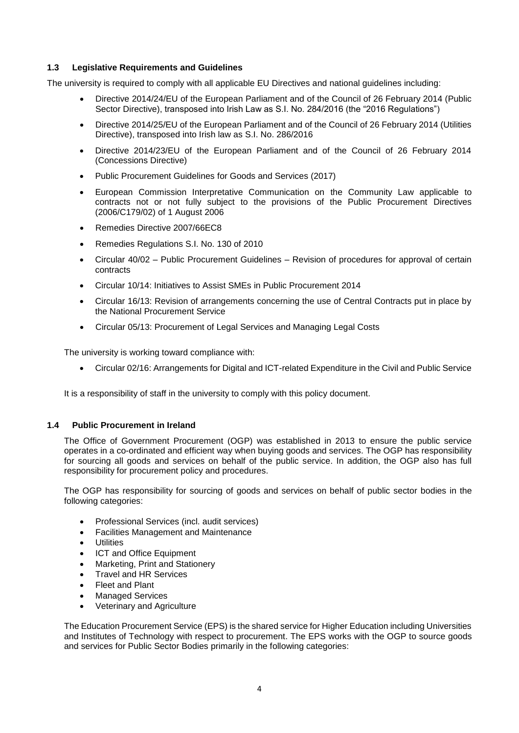#### **1.3 Legislative Requirements and Guidelines**

The university is required to comply with all applicable EU Directives and national guidelines including:

- Directive 2014/24/EU of the European Parliament and of the Council of 26 February 2014 (Public Sector Directive), transposed into Irish Law as S.I. No. 284/2016 (the "2016 Regulations")
- Directive 2014/25/EU of the European Parliament and of the Council of 26 February 2014 (Utilities Directive), transposed into Irish law as S.I. No. 286/2016
- Directive 2014/23/EU of the European Parliament and of the Council of 26 February 2014 (Concessions Directive)
- Public Procurement Guidelines for Goods and Services (2017)
- European Commission Interpretative Communication on the Community Law applicable to contracts not or not fully subject to the provisions of the Public Procurement Directives (2006/C179/02) of 1 August 2006
- Remedies Directive 2007/66EC8
- Remedies Regulations S.I. No. 130 of 2010
- Circular 40/02 Public Procurement Guidelines Revision of procedures for approval of certain contracts
- Circular 10/14: Initiatives to Assist SMEs in Public Procurement 2014
- Circular 16/13: Revision of arrangements concerning the use of Central Contracts put in place by the National Procurement Service
- Circular 05/13: Procurement of Legal Services and Managing Legal Costs

The university is working toward compliance with:

Circular 02/16: Arrangements for Digital and ICT-related Expenditure in the Civil and Public Service

It is a responsibility of staff in the university to comply with this policy document.

#### **1.4 Public Procurement in Ireland**

The Office of Government Procurement (OGP) was established in 2013 to ensure the public service operates in a co-ordinated and efficient way when buying goods and services. The OGP has responsibility for sourcing all goods and services on behalf of the public service. In addition, the OGP also has full responsibility for procurement policy and procedures.

The OGP has responsibility for sourcing of goods and services on behalf of public sector bodies in the following categories:

- Professional Services (incl. audit services)
- Facilities Management and Maintenance
- **Utilities**
- ICT and Office Equipment
- Marketing, Print and Stationery
- Travel and HR Services
- Fleet and Plant
- Managed Services
- Veterinary and Agriculture

The Education Procurement Service (EPS) is the shared service for Higher Education including Universities and Institutes of Technology with respect to procurement. The EPS works with the OGP to source goods and services for Public Sector Bodies primarily in the following categories: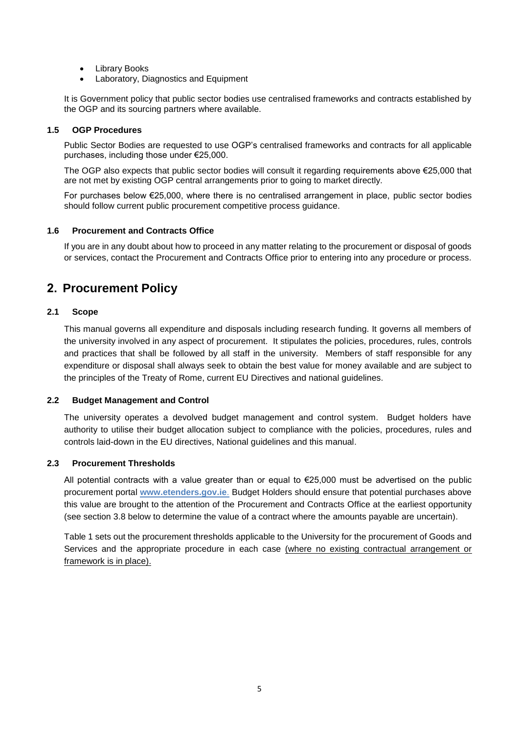- Library Books
- Laboratory, Diagnostics and Equipment

It is Government policy that public sector bodies use centralised frameworks and contracts established by the OGP and its sourcing partners where available.

#### **1.5 OGP Procedures**

Public Sector Bodies are requested to use OGP's centralised frameworks and contracts for all applicable purchases, including those under €25,000.

The OGP also expects that public sector bodies will consult it regarding requirements above €25,000 that are not met by existing OGP central arrangements prior to going to market directly.

For purchases below €25,000, where there is no centralised arrangement in place, public sector bodies should follow current public procurement competitive process guidance.

#### **1.6 Procurement and Contracts Office**

If you are in any doubt about how to proceed in any matter relating to the procurement or disposal of goods or services, contact the Procurement and Contracts Office prior to entering into any procedure or process.

### <span id="page-5-0"></span>**2. Procurement Policy**

#### **2.1 Scope**

This manual governs all expenditure and disposals including research funding. It governs all members of the university involved in any aspect of procurement. It stipulates the policies, procedures, rules, controls and practices that shall be followed by all staff in the university. Members of staff responsible for any expenditure or disposal shall always seek to obtain the best value for money available and are subject to the principles of the Treaty of Rome, current EU Directives and national guidelines.

#### **2.2 Budget Management and Control**

The university operates a devolved budget management and control system. Budget holders have authority to utilise their budget allocation subject to compliance with the policies, procedures, rules and controls laid-down in the EU directives, National guidelines and this manual.

#### **2.3 Procurement Thresholds**

All potential contracts with a value greater than or equal to €25,000 must be advertised on the public procurement portal **[www.etenders.gov.ie](http://www.etenders.gov.ie/)**. Budget Holders should ensure that potential purchases above this value are brought to the attention of the Procurement and Contracts Office at the earliest opportunity (see section 3.8 below to determine the value of a contract where the amounts payable are uncertain).

Table 1 sets out the procurement thresholds applicable to the University for the procurement of Goods and Services and the appropriate procedure in each case (where no existing contractual arrangement or framework is in place).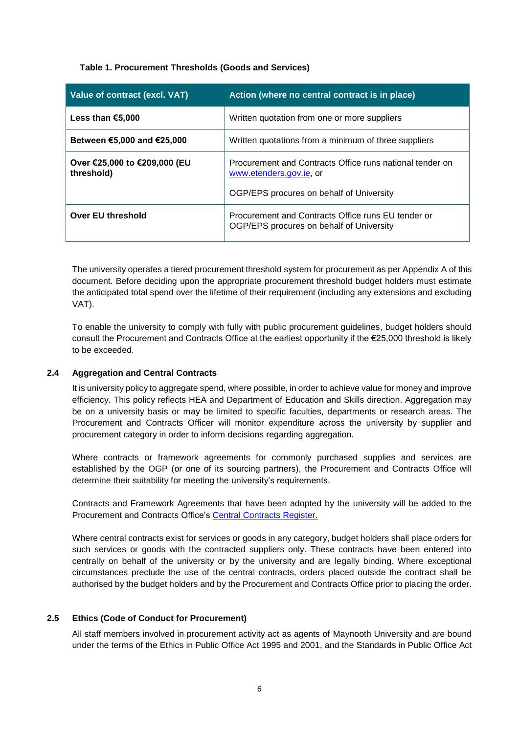#### **Table 1. Procurement Thresholds (Goods and Services)**

| Value of contract (excl. VAT)              | Action (where no central contract is in place)                                                                                  |  |  |
|--------------------------------------------|---------------------------------------------------------------------------------------------------------------------------------|--|--|
| Less than €5,000                           | Written quotation from one or more suppliers                                                                                    |  |  |
| Between €5,000 and €25,000                 | Written quotations from a minimum of three suppliers                                                                            |  |  |
| Over €25,000 to €209,000 (EU<br>threshold) | Procurement and Contracts Office runs national tender on<br>www.etenders.gov.ie, or<br>OGP/EPS procures on behalf of University |  |  |
|                                            |                                                                                                                                 |  |  |
| Over EU threshold                          | Procurement and Contracts Office runs EU tender or<br>OGP/EPS procures on behalf of University                                  |  |  |

The university operates a tiered procurement threshold system for procurement as per Appendix A of this document. Before deciding upon the appropriate procurement threshold budget holders must estimate the anticipated total spend over the lifetime of their requirement (including any extensions and excluding VAT).

To enable the university to comply with fully with public procurement guidelines, budget holders should consult the Procurement and Contracts Office at the earliest opportunity if the €25,000 threshold is likely to be exceeded.

#### **2.4 Aggregation and Central Contracts**

It is university policy to aggregate spend, where possible, in order to achieve value for money and improve efficiency. This policy reflects HEA and Department of Education and Skills direction. Aggregation may be on a university basis or may be limited to specific faculties, departments or research areas. The Procurement and Contracts Officer will monitor expenditure across the university by supplier and procurement category in order to inform decisions regarding aggregation.

Where contracts or framework agreements for commonly purchased supplies and services are established by the OGP (or one of its sourcing partners), the Procurement and Contracts Office will determine their suitability for meeting the university's requirements.

Contracts and Framework Agreements that have been adopted by the university will be added to the Procurement and Contracts Office's [Central Contracts Register.](https://www.maynoothuniversity.ie/procurement-contracts/internal-procurement-users/central-contracts)

Where central contracts exist for services or goods in any category, budget holders shall place orders for such services or goods with the contracted suppliers only. These contracts have been entered into centrally on behalf of the university or by the university and are legally binding. Where exceptional circumstances preclude the use of the central contracts, orders placed outside the contract shall be authorised by the budget holders and by the Procurement and Contracts Office prior to placing the order.

#### **2.5 Ethics (Code of Conduct for Procurement)**

All staff members involved in procurement activity act as agents of Maynooth University and are bound under the terms of the Ethics in Public Office Act 1995 and 2001, and the Standards in Public Office Act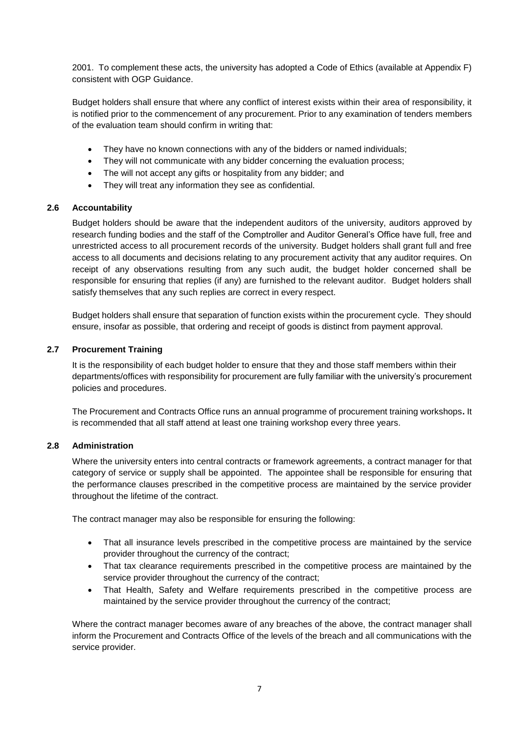2001. To complement these acts, the university has adopted a Code of Ethics (available at Appendix F) consistent with OGP Guidance.

Budget holders shall ensure that where any conflict of interest exists within their area of responsibility, it is notified prior to the commencement of any procurement. Prior to any examination of tenders members of the evaluation team should confirm in writing that:

- They have no known connections with any of the bidders or named individuals;
- They will not communicate with any bidder concerning the evaluation process;
- The will not accept any gifts or hospitality from any bidder; and
- They will treat any information they see as confidential.

#### **2.6 Accountability**

Budget holders should be aware that the independent auditors of the university, auditors approved by research funding bodies and the staff of the Comptroller and Auditor General's Office have full, free and unrestricted access to all procurement records of the university. Budget holders shall grant full and free access to all documents and decisions relating to any procurement activity that any auditor requires. On receipt of any observations resulting from any such audit, the budget holder concerned shall be responsible for ensuring that replies (if any) are furnished to the relevant auditor. Budget holders shall satisfy themselves that any such replies are correct in every respect.

Budget holders shall ensure that separation of function exists within the procurement cycle. They should ensure, insofar as possible, that ordering and receipt of goods is distinct from payment approval.

#### **2.7 Procurement Training**

It is the responsibility of each budget holder to ensure that they and those staff members within their departments/offices with responsibility for procurement are fully familiar with the university's procurement policies and procedures.

The Procurement and Contracts Office runs an annual programme of procurement training workshops**.** It is recommended that all staff attend at least one training workshop every three years.

#### **2.8 Administration**

Where the university enters into central contracts or framework agreements, a contract manager for that category of service or supply shall be appointed. The appointee shall be responsible for ensuring that the performance clauses prescribed in the competitive process are maintained by the service provider throughout the lifetime of the contract.

The contract manager may also be responsible for ensuring the following:

- That all insurance levels prescribed in the competitive process are maintained by the service provider throughout the currency of the contract;
- That tax clearance requirements prescribed in the competitive process are maintained by the service provider throughout the currency of the contract;
- That Health, Safety and Welfare requirements prescribed in the competitive process are maintained by the service provider throughout the currency of the contract;

Where the contract manager becomes aware of any breaches of the above, the contract manager shall inform the Procurement and Contracts Office of the levels of the breach and all communications with the service provider.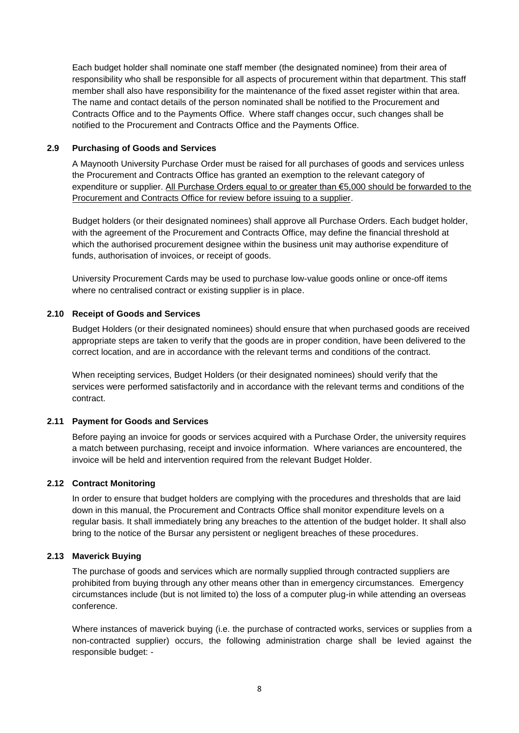Each budget holder shall nominate one staff member (the designated nominee) from their area of responsibility who shall be responsible for all aspects of procurement within that department. This staff member shall also have responsibility for the maintenance of the fixed asset register within that area. The name and contact details of the person nominated shall be notified to the Procurement and Contracts Office and to the Payments Office. Where staff changes occur, such changes shall be notified to the Procurement and Contracts Office and the Payments Office.

#### **2.9 Purchasing of Goods and Services**

A Maynooth University Purchase Order must be raised for all purchases of goods and services unless the Procurement and Contracts Office has granted an exemption to the relevant category of expenditure or supplier. All Purchase Orders equal to or greater than €5,000 should be forwarded to the Procurement and Contracts Office for review before issuing to a supplier.

Budget holders (or their designated nominees) shall approve all Purchase Orders. Each budget holder, with the agreement of the Procurement and Contracts Office, may define the financial threshold at which the authorised procurement designee within the business unit may authorise expenditure of funds, authorisation of invoices, or receipt of goods.

University Procurement Cards may be used to purchase low-value goods online or once-off items where no centralised contract or existing supplier is in place.

#### **2.10 Receipt of Goods and Services**

Budget Holders (or their designated nominees) should ensure that when purchased goods are received appropriate steps are taken to verify that the goods are in proper condition, have been delivered to the correct location, and are in accordance with the relevant terms and conditions of the contract.

When receipting services, Budget Holders (or their designated nominees) should verify that the services were performed satisfactorily and in accordance with the relevant terms and conditions of the contract.

#### **2.11 Payment for Goods and Services**

Before paying an invoice for goods or services acquired with a Purchase Order, the university requires a match between purchasing, receipt and invoice information. Where variances are encountered, the invoice will be held and intervention required from the relevant Budget Holder.

#### **2.12 Contract Monitoring**

In order to ensure that budget holders are complying with the procedures and thresholds that are laid down in this manual, the Procurement and Contracts Office shall monitor expenditure levels on a regular basis. It shall immediately bring any breaches to the attention of the budget holder. It shall also bring to the notice of the Bursar any persistent or negligent breaches of these procedures.

#### **2.13 Maverick Buying**

The purchase of goods and services which are normally supplied through contracted suppliers are prohibited from buying through any other means other than in emergency circumstances. Emergency circumstances include (but is not limited to) the loss of a computer plug-in while attending an overseas conference.

Where instances of maverick buying (i.e. the purchase of contracted works, services or supplies from a non-contracted supplier) occurs, the following administration charge shall be levied against the responsible budget: -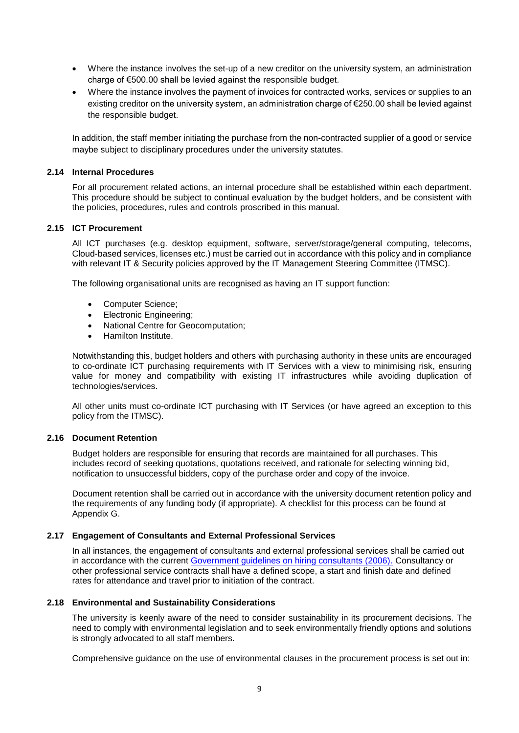- Where the instance involves the set-up of a new creditor on the university system, an administration charge of €500.00 shall be levied against the responsible budget.
- Where the instance involves the payment of invoices for contracted works, services or supplies to an existing creditor on the university system, an administration charge of €250.00 shall be levied against the responsible budget.

In addition, the staff member initiating the purchase from the non-contracted supplier of a good or service maybe subject to disciplinary procedures under the university statutes.

#### **2.14 Internal Procedures**

For all procurement related actions, an internal procedure shall be established within each department. This procedure should be subject to continual evaluation by the budget holders, and be consistent with the policies, procedures, rules and controls proscribed in this manual.

#### **2.15 ICT Procurement**

All ICT purchases (e.g. desktop equipment, software, server/storage/general computing, telecoms, Cloud-based services, licenses etc.) must be carried out in accordance with this policy and in compliance with relevant IT & Security policies approved by the IT Management Steering Committee (ITMSC).

The following organisational units are recognised as having an IT support function:

- Computer Science;
- Electronic Engineering;
- National Centre for Geocomputation;
- Hamilton Institute.

Notwithstanding this, budget holders and others with purchasing authority in these units are encouraged to co-ordinate ICT purchasing requirements with IT Services with a view to minimising risk, ensuring value for money and compatibility with existing IT infrastructures while avoiding duplication of technologies/services.

All other units must co-ordinate ICT purchasing with IT Services (or have agreed an exception to this policy from the ITMSC).

#### **2.16 Document Retention**

Budget holders are responsible for ensuring that records are maintained for all purchases. This includes record of seeking quotations, quotations received, and rationale for selecting winning bid, notification to unsuccessful bidders, copy of the purchase order and copy of the invoice.

Document retention shall be carried out in accordance with the university document retention policy and the requirements of any funding body (if appropriate). A checklist for this process can be found at Appendix G.

#### **2.17 Engagement of Consultants and External Professional Services**

In all instances, the engagement of consultants and external professional services shall be carried out in accordance with the current [Government guidelines on hiring consultants \(2006\).](http://etenders.gov.ie/Media/Default/SiteContent/LegislationGuides/6.%20Guidelines%20for%20the%20Engagement%20of%20Consultants%20by%20the%20Civil%20Service.pdf) Consultancy or other professional service contracts shall have a defined scope, a start and finish date and defined rates for attendance and travel prior to initiation of the contract.

#### **2.18 Environmental and Sustainability Considerations**

The university is keenly aware of the need to consider sustainability in its procurement decisions. The need to comply with environmental legislation and to seek environmentally friendly options and solutions is strongly advocated to all staff members.

Comprehensive guidance on the use of environmental clauses in the procurement process is set out in: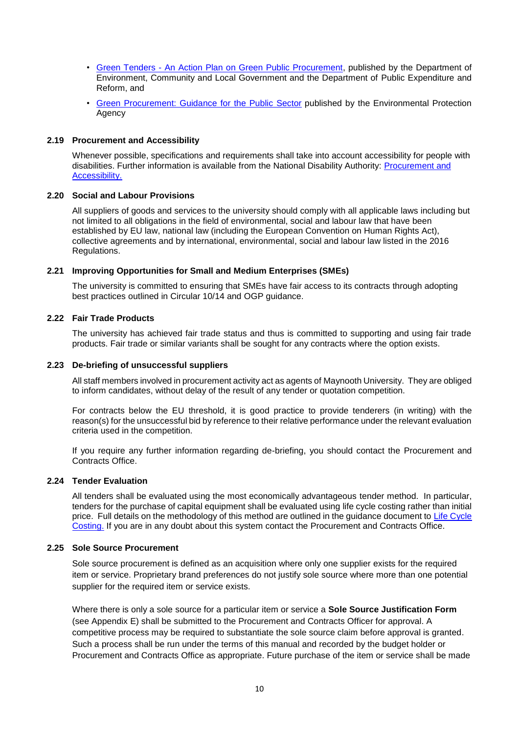- Green Tenders [An Action Plan on Green Public Procurement,](http://www.etenders.gov.ie/Media/Default/SiteContent/LegislationGuides/13.%20Green%20Tenders%20-%20An%20Action%20Plan%20on%20Green%20Public%20Procurement.pdf) published by the Department of Environment, Community and Local Government and the Department of Public Expenditure and Reform, and
- Green Procurement: [Guidance for the Public Sector](http://www.epa.ie/pubs/reports/other/corporate/olg/GreenPublicProcurementfinalwebv2.pdf) published by the Environmental Protection Agency

#### **2.19 Procurement and Accessibility**

Whenever possible, specifications and requirements shall take into account accessibility for people with disabilities. Further information is available from the National Disability Authority: [Procurement and](http://nda.ie/Good-practice/Guidelines/Procurement-and-Accessibility/)  [Accessibility.](http://nda.ie/Good-practice/Guidelines/Procurement-and-Accessibility/)

#### **2.20 Social and Labour Provisions**

All suppliers of goods and services to the university should comply with all applicable laws including but not limited to all obligations in the field of environmental, social and labour law that have been established by EU law, national law (including the European Convention on Human Rights Act), collective agreements and by international, environmental, social and labour law listed in the 2016 Regulations.

#### **2.21 Improving Opportunities for Small and Medium Enterprises (SMEs)**

The university is committed to ensuring that SMEs have fair access to its contracts through adopting best practices outlined in Circular 10/14 and OGP guidance.

#### **2.22 Fair Trade Products**

The university has achieved fair trade status and thus is committed to supporting and using fair trade products. Fair trade or similar variants shall be sought for any contracts where the option exists.

#### **2.23 De-briefing of unsuccessful suppliers**

All staff members involved in procurement activity act as agents of Maynooth University. They are obliged to inform candidates, without delay of the result of any tender or quotation competition.

For contracts below the EU threshold, it is good practice to provide tenderers (in writing) with the reason(s) for the unsuccessful bid by reference to their relative performance under the relevant evaluation criteria used in the competition.

If you require any further information regarding de-briefing, you should contact the Procurement and Contracts Office.

#### **2.24 Tender Evaluation**

All tenders shall be evaluated using the most economically advantageous tender method. In particular, tenders for the purchase of capital equipment shall be evaluated using life cycle costing rather than initial price. Full details on the methodology of this method are outlined in the guidance document to [Life Cycle](https://www.maynoothuniversity.ie/sites/default/files/assets/document/LifeCycleCosting.pdf)  [Costing.](https://www.maynoothuniversity.ie/sites/default/files/assets/document/LifeCycleCosting.pdf) If you are in any doubt about this system contact the Procurement and Contracts Office.

#### **2.25 Sole Source Procurement**

Sole source procurement is defined as an acquisition where only one supplier exists for the required item or service. Proprietary brand preferences do not justify sole source where more than one potential supplier for the required item or service exists.

Where there is only a sole source for a particular item or service a **Sole Source Justification Form** (see Appendix E) shall be submitted to the Procurement and Contracts Officer for approval. A competitive process may be required to substantiate the sole source claim before approval is granted. Such a process shall be run under the terms of this manual and recorded by the budget holder or Procurement and Contracts Office as appropriate. Future purchase of the item or service shall be made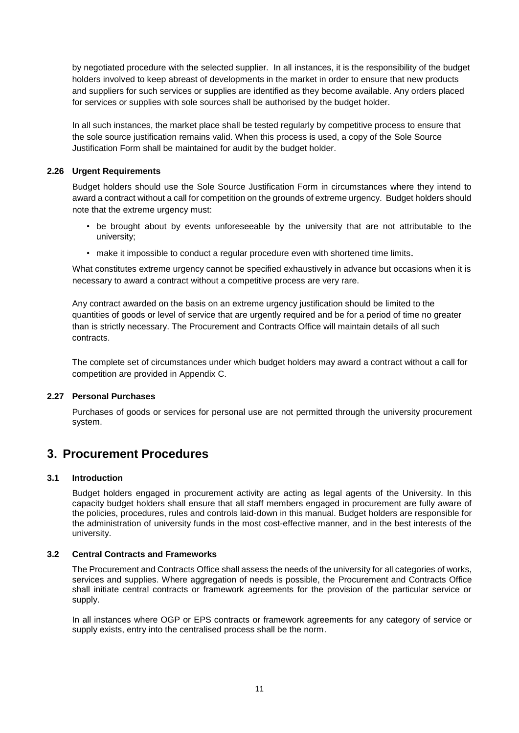by negotiated procedure with the selected supplier. In all instances, it is the responsibility of the budget holders involved to keep abreast of developments in the market in order to ensure that new products and suppliers for such services or supplies are identified as they become available. Any orders placed for services or supplies with sole sources shall be authorised by the budget holder.

In all such instances, the market place shall be tested regularly by competitive process to ensure that the sole source justification remains valid. When this process is used, a copy of the Sole Source Justification Form shall be maintained for audit by the budget holder.

#### **2.26 Urgent Requirements**

Budget holders should use the Sole Source Justification Form in circumstances where they intend to award a contract without a call for competition on the grounds of extreme urgency. Budget holders should note that the extreme urgency must:

- be brought about by events unforeseeable by the university that are not attributable to the university;
- make it impossible to conduct a regular procedure even with shortened time limits.

What constitutes extreme urgency cannot be specified exhaustively in advance but occasions when it is necessary to award a contract without a competitive process are very rare.

Any contract awarded on the basis on an extreme urgency justification should be limited to the quantities of goods or level of service that are urgently required and be for a period of time no greater than is strictly necessary. The Procurement and Contracts Office will maintain details of all such contracts.

The complete set of circumstances under which budget holders may award a contract without a call for competition are provided in Appendix C.

#### **2.27 Personal Purchases**

Purchases of goods or services for personal use are not permitted through the university procurement system.

### <span id="page-11-0"></span>**3. Procurement Procedures**

#### **3.1 Introduction**

Budget holders engaged in procurement activity are acting as legal agents of the University. In this capacity budget holders shall ensure that all staff members engaged in procurement are fully aware of the policies, procedures, rules and controls laid-down in this manual. Budget holders are responsible for the administration of university funds in the most cost-effective manner, and in the best interests of the university.

#### **3.2 Central Contracts and Frameworks**

The Procurement and Contracts Office shall assess the needs of the university for all categories of works, services and supplies. Where aggregation of needs is possible, the Procurement and Contracts Office shall initiate central contracts or framework agreements for the provision of the particular service or supply.

In all instances where OGP or EPS contracts or framework agreements for any category of service or supply exists, entry into the centralised process shall be the norm.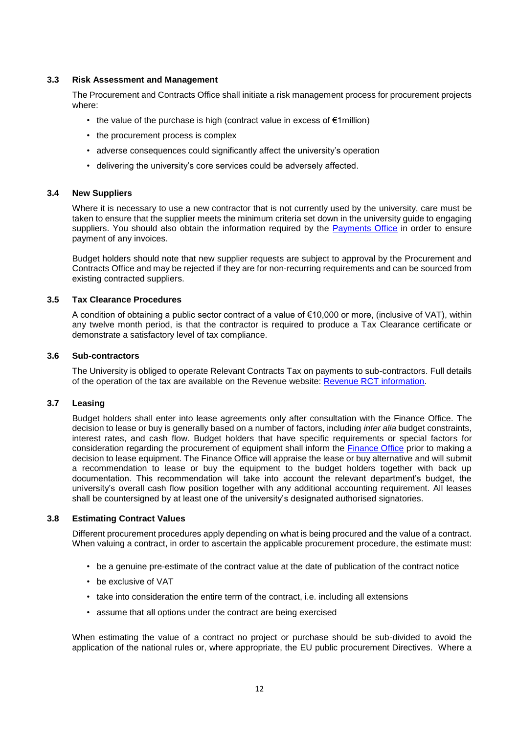#### **3.3 Risk Assessment and Management**

The Procurement and Contracts Office shall initiate a risk management process for procurement projects where:

- the value of the purchase is high (contract value in excess of €1million)
- the procurement process is complex
- adverse consequences could significantly affect the university's operation
- delivering the university's core services could be adversely affected.

#### **3.4 New Suppliers**

Where it is necessary to use a new contractor that is not currently used by the university, care must be taken to ensure that the supplier meets the minimum criteria set down in the university guide to engaging suppliers. You should also obtain the information required by the [Payments Office](https://www.maynoothuniversity.ie/bursar/payments-office) in order to ensure payment of any invoices.

Budget holders should note that new supplier requests are subject to approval by the Procurement and Contracts Office and may be rejected if they are for non-recurring requirements and can be sourced from existing contracted suppliers.

#### **3.5 Tax Clearance Procedures**

A condition of obtaining a public sector contract of a value of  $€10,000$  or more, (inclusive of VAT), within any twelve month period, is that the contractor is required to produce a Tax Clearance certificate or demonstrate a satisfactory level of tax compliance.

#### **3.6 Sub-contractors**

The University is obliged to operate Relevant Contracts Tax on payments to sub-contractors. Full details of the operation of the tax are available on the Revenue website: [Revenue RCT information.](http://www.revenue.ie/en/self-assessment-and-self-employment/rct/index.aspx)

#### **3.7 Leasing**

Budget holders shall enter into lease agreements only after consultation with the Finance Office. The decision to lease or buy is generally based on a number of factors, including *inter alia* budget constraints, interest rates, and cash flow. Budget holders that have specific requirements or special factors for consideration regarding the procurement of equipment shall inform the [Finance Office](https://www.maynoothuniversity.ie/bursar) prior to making a decision to lease equipment. The Finance Office will appraise the lease or buy alternative and will submit a recommendation to lease or buy the equipment to the budget holders together with back up documentation. This recommendation will take into account the relevant department's budget, the university's overall cash flow position together with any additional accounting requirement. All leases shall be countersigned by at least one of the university's designated authorised signatories.

#### **3.8 Estimating Contract Values**

Different procurement procedures apply depending on what is being procured and the value of a contract. When valuing a contract, in order to ascertain the applicable procurement procedure, the estimate must:

- be a genuine pre-estimate of the contract value at the date of publication of the contract notice
- be exclusive of VAT
- take into consideration the entire term of the contract, i.e. including all extensions
- assume that all options under the contract are being exercised

When estimating the value of a contract no project or purchase should be sub-divided to avoid the application of the national rules or, where appropriate, the EU public procurement Directives. Where a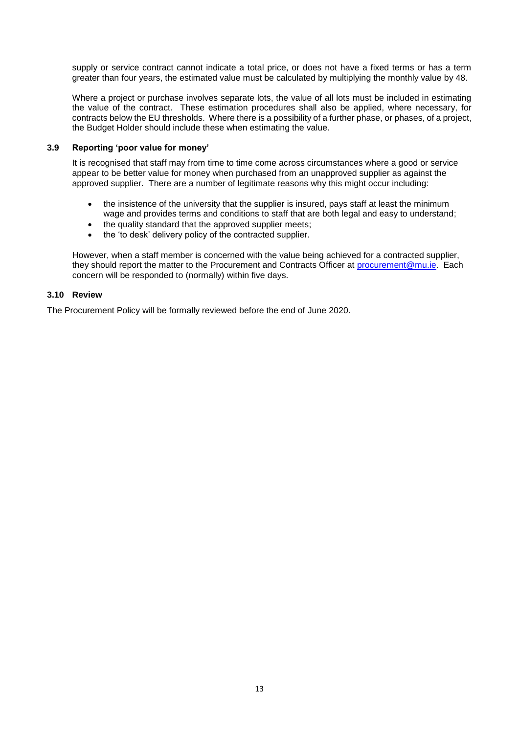supply or service contract cannot indicate a total price, or does not have a fixed terms or has a term greater than four years, the estimated value must be calculated by multiplying the monthly value by 48.

Where a project or purchase involves separate lots, the value of all lots must be included in estimating the value of the contract. These estimation procedures shall also be applied, where necessary, for contracts below the EU thresholds. Where there is a possibility of a further phase, or phases, of a project, the Budget Holder should include these when estimating the value.

#### **3.9 Reporting 'poor value for money'**

It is recognised that staff may from time to time come across circumstances where a good or service appear to be better value for money when purchased from an unapproved supplier as against the approved supplier. There are a number of legitimate reasons why this might occur including:

- the insistence of the university that the supplier is insured, pays staff at least the minimum wage and provides terms and conditions to staff that are both legal and easy to understand;
- the quality standard that the approved supplier meets;
- the 'to desk' delivery policy of the contracted supplier.

However, when a staff member is concerned with the value being achieved for a contracted supplier, they should report the matter to the Procurement and Contracts Officer at [procurement@mu.ie.](mailto:procurement@mu.ie) Each concern will be responded to (normally) within five days.

#### **3.10 Review**

The Procurement Policy will be formally reviewed before the end of June 2020.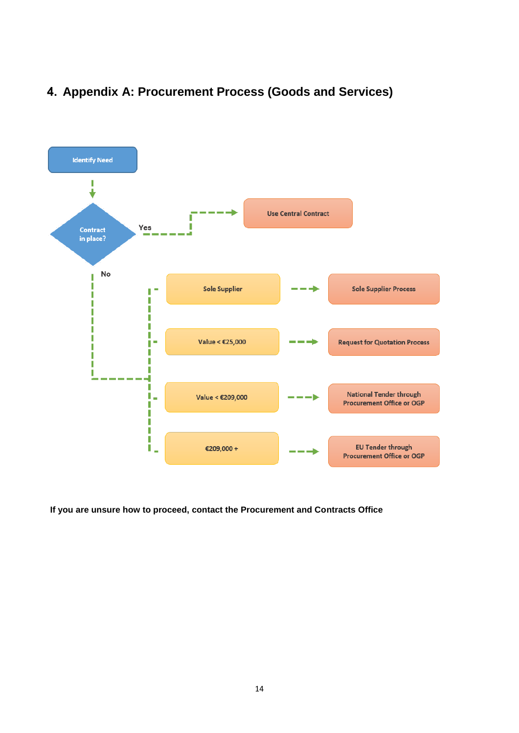# <span id="page-14-0"></span>**4. Appendix A: Procurement Process (Goods and Services)**



**If you are unsure how to proceed, contact the Procurement and Contracts Office**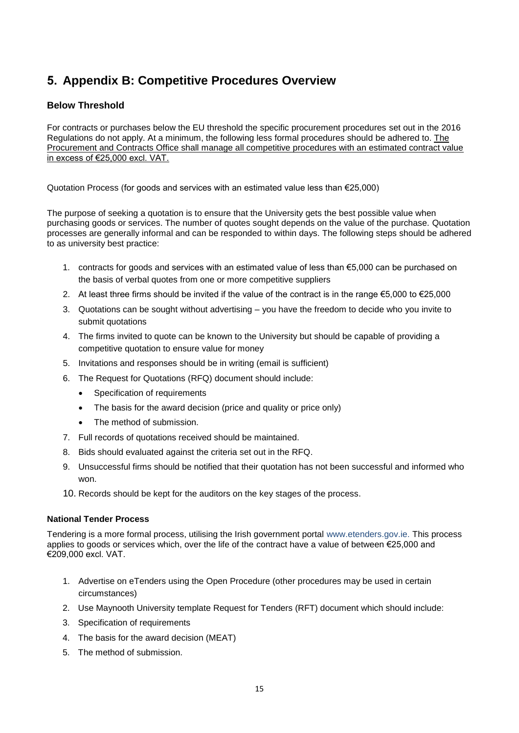# <span id="page-15-0"></span>**5. Appendix B: Competitive Procedures Overview**

#### **Below Threshold**

For contracts or purchases below the EU threshold the specific procurement procedures set out in the 2016 Regulations do not apply. At a minimum, the following less formal procedures should be adhered to. The Procurement and Contracts Office shall manage all competitive procedures with an estimated contract value in excess of €25,000 excl. VAT.

Quotation Process (for goods and services with an estimated value less than €25,000)

The purpose of seeking a quotation is to ensure that the University gets the best possible value when purchasing goods or services. The number of quotes sought depends on the value of the purchase. Quotation processes are generally informal and can be responded to within days. The following steps should be adhered to as university best practice:

- 1. contracts for goods and services with an estimated value of less than €5,000 can be purchased on the basis of verbal quotes from one or more competitive suppliers
- 2. At least three firms should be invited if the value of the contract is in the range €5,000 to €25,000
- 3. Quotations can be sought without advertising you have the freedom to decide who you invite to submit quotations
- 4. The firms invited to quote can be known to the University but should be capable of providing a competitive quotation to ensure value for money
- 5. Invitations and responses should be in writing (email is sufficient)
- 6. The Request for Quotations (RFQ) document should include:
	- Specification of requirements
	- The basis for the award decision (price and quality or price only)
	- The method of submission.
- 7. Full records of quotations received should be maintained.
- 8. Bids should evaluated against the criteria set out in the RFQ.
- 9. Unsuccessful firms should be notified that their quotation has not been successful and informed who won.
- 10. Records should be kept for the auditors on the key stages of the process.

#### **National Tender Process**

Tendering is a more formal process, utilising the Irish government portal [www.etenders.gov.ie.](http://www.etenders.gov.ie/) This process applies to goods or services which, over the life of the contract have a value of between €25,000 and €209,000 excl. VAT.

- 1. Advertise on eTenders using the Open Procedure (other procedures may be used in certain circumstances)
- 2. Use Maynooth University template Request for Tenders (RFT) document which should include:
- 3. Specification of requirements
- 4. The basis for the award decision (MEAT)
- 5. The method of submission.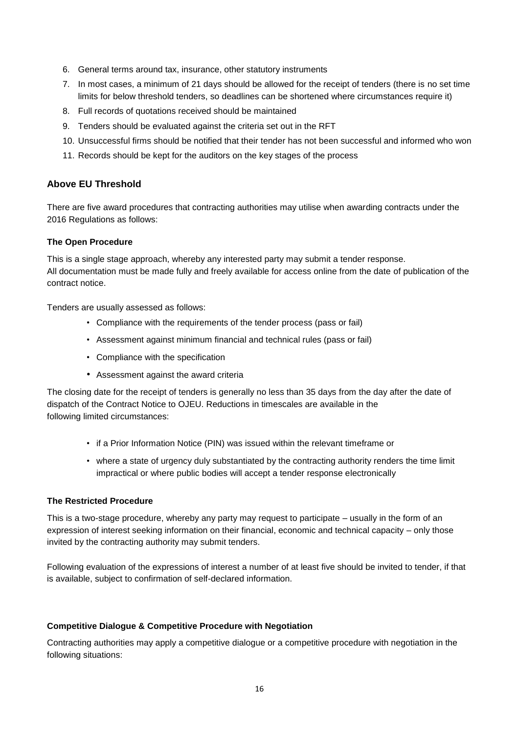- 6. General terms around tax, insurance, other statutory instruments
- 7. In most cases, a minimum of 21 days should be allowed for the receipt of tenders (there is no set time limits for below threshold tenders, so deadlines can be shortened where circumstances require it)
- 8. Full records of quotations received should be maintained
- 9. Tenders should be evaluated against the criteria set out in the RFT
- 10. Unsuccessful firms should be notified that their tender has not been successful and informed who won
- 11. Records should be kept for the auditors on the key stages of the process

#### **Above EU Threshold**

There are five award procedures that contracting authorities may utilise when awarding contracts under the 2016 Regulations as follows:

#### **The Open Procedure**

This is a single stage approach, whereby any interested party may submit a tender response. All documentation must be made fully and freely available for access online from the date of publication of the contract notice.

Tenders are usually assessed as follows:

- Compliance with the requirements of the tender process (pass or fail)
- Assessment against minimum financial and technical rules (pass or fail)
- Compliance with the specification
- Assessment against the award criteria

The closing date for the receipt of tenders is generally no less than 35 days from the day after the date of dispatch of the Contract Notice to OJEU. Reductions in timescales are available in the following limited circumstances:

- if a Prior Information Notice (PIN) was issued within the relevant timeframe or
- where a state of urgency duly substantiated by the contracting authority renders the time limit impractical or where public bodies will accept a tender response electronically

#### **The Restricted Procedure**

This is a two-stage procedure, whereby any party may request to participate – usually in the form of an expression of interest seeking information on their financial, economic and technical capacity – only those invited by the contracting authority may submit tenders.

Following evaluation of the expressions of interest a number of at least five should be invited to tender, if that is available, subject to confirmation of self-declared information.

#### **Competitive Dialogue & Competitive Procedure with Negotiation**

Contracting authorities may apply a competitive dialogue or a competitive procedure with negotiation in the following situations: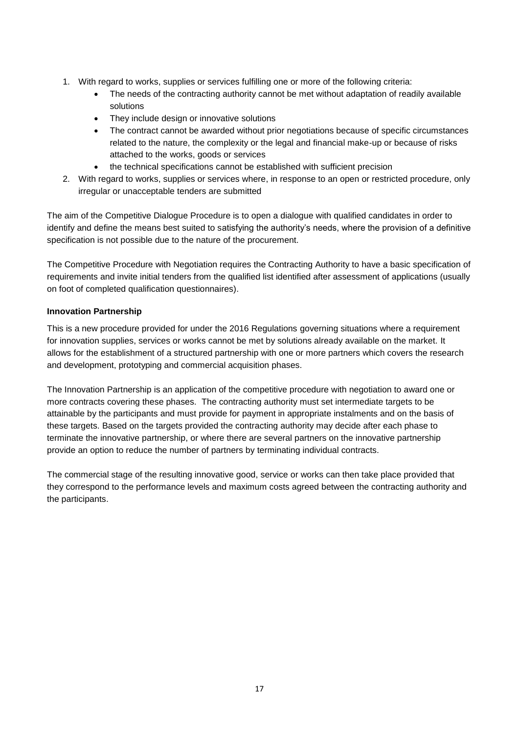- 1. With regard to works, supplies or services fulfilling one or more of the following criteria:
	- The needs of the contracting authority cannot be met without adaptation of readily available solutions
	- They include design or innovative solutions
	- The contract cannot be awarded without prior negotiations because of specific circumstances related to the nature, the complexity or the legal and financial make-up or because of risks attached to the works, goods or services
	- the technical specifications cannot be established with sufficient precision
- 2. With regard to works, supplies or services where, in response to an open or restricted procedure, only irregular or unacceptable tenders are submitted

The aim of the Competitive Dialogue Procedure is to open a dialogue with qualified candidates in order to identify and define the means best suited to satisfying the authority's needs, where the provision of a definitive specification is not possible due to the nature of the procurement.

The Competitive Procedure with Negotiation requires the Contracting Authority to have a basic specification of requirements and invite initial tenders from the qualified list identified after assessment of applications (usually on foot of completed qualification questionnaires).

#### **Innovation Partnership**

This is a new procedure provided for under the 2016 Regulations governing situations where a requirement for innovation supplies, services or works cannot be met by solutions already available on the market. It allows for the establishment of a structured partnership with one or more partners which covers the research and development, prototyping and commercial acquisition phases.

The Innovation Partnership is an application of the competitive procedure with negotiation to award one or more contracts covering these phases. The contracting authority must set intermediate targets to be attainable by the participants and must provide for payment in appropriate instalments and on the basis of these targets. Based on the targets provided the contracting authority may decide after each phase to terminate the innovative partnership, or where there are several partners on the innovative partnership provide an option to reduce the number of partners by terminating individual contracts.

The commercial stage of the resulting innovative good, service or works can then take place provided that they correspond to the performance levels and maximum costs agreed between the contracting authority and the participants.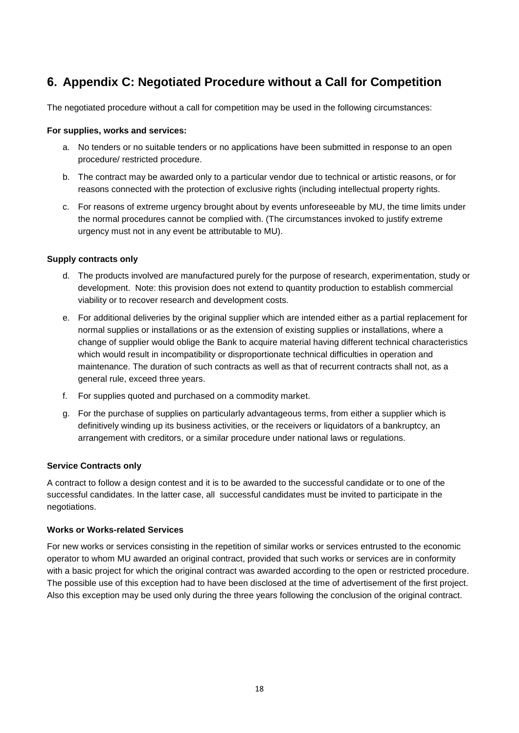# <span id="page-18-0"></span>**6. Appendix C: Negotiated Procedure without a Call for Competition**

The negotiated procedure without a call for competition may be used in the following circumstances:

#### **For supplies, works and services:**

- a. No tenders or no suitable tenders or no applications have been submitted in response to an open procedure/ restricted procedure.
- b. The contract may be awarded only to a particular vendor due to technical or artistic reasons, or for reasons connected with the protection of exclusive rights (including intellectual property rights.
- c. For reasons of extreme urgency brought about by events unforeseeable by MU, the time limits under the normal procedures cannot be complied with. (The circumstances invoked to justify extreme urgency must not in any event be attributable to MU).

#### **Supply contracts only**

- d. The products involved are manufactured purely for the purpose of research, experimentation, study or development. Note: this provision does not extend to quantity production to establish commercial viability or to recover research and development costs.
- e. For additional deliveries by the original supplier which are intended either as a partial replacement for normal supplies or installations or as the extension of existing supplies or installations, where a change of supplier would oblige the Bank to acquire material having different technical characteristics which would result in incompatibility or disproportionate technical difficulties in operation and maintenance. The duration of such contracts as well as that of recurrent contracts shall not, as a general rule, exceed three years.
- f. For supplies quoted and purchased on a commodity market.
- g. For the purchase of supplies on particularly advantageous terms, from either a supplier which is definitively winding up its business activities, or the receivers or liquidators of a bankruptcy, an arrangement with creditors, or a similar procedure under national laws or regulations.

#### **Service Contracts only**

A contract to follow a design contest and it is to be awarded to the successful candidate or to one of the successful candidates. In the latter case, all successful candidates must be invited to participate in the negotiations.

#### **Works or Works-related Services**

For new works or services consisting in the repetition of similar works or services entrusted to the economic operator to whom MU awarded an original contract, provided that such works or services are in conformity with a basic project for which the original contract was awarded according to the open or restricted procedure. The possible use of this exception had to have been disclosed at the time of advertisement of the first project. Also this exception may be used only during the three years following the conclusion of the original contract.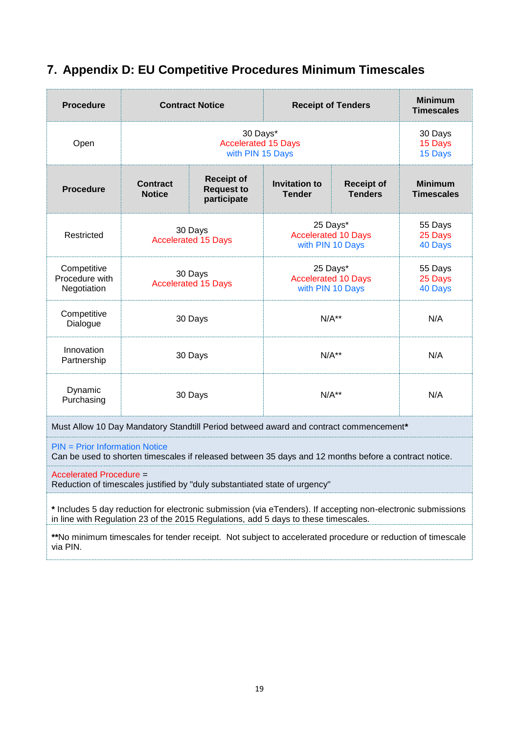<span id="page-19-0"></span>

|  |  |  |  | 7. Appendix D: EU Competitive Procedures Minimum Timescales |
|--|--|--|--|-------------------------------------------------------------|
|  |  |  |  |                                                             |

| <b>Procedure</b>                                                                                                                                                                                    |                                       | <b>Contract Notice</b>                                                                                |                                                            | <b>Receipt of Tenders</b>                                  | <b>Minimum</b><br><b>Timescales</b> |
|-----------------------------------------------------------------------------------------------------------------------------------------------------------------------------------------------------|---------------------------------------|-------------------------------------------------------------------------------------------------------|------------------------------------------------------------|------------------------------------------------------------|-------------------------------------|
| Open                                                                                                                                                                                                |                                       | 30 Days*<br><b>Accelerated 15 Days</b><br>with PIN 15 Days                                            |                                                            |                                                            | 30 Days<br>15 Days<br>15 Days       |
| <b>Procedure</b>                                                                                                                                                                                    | <b>Contract</b><br><b>Notice</b>      | <b>Receipt of</b><br><b>Request to</b><br>participate                                                 | <b>Invitation to</b><br><b>Tender</b>                      | <b>Receipt of</b><br><b>Tenders</b>                        | <b>Minimum</b><br><b>Timescales</b> |
| Restricted                                                                                                                                                                                          |                                       | 30 Days<br><b>Accelerated 15 Days</b>                                                                 |                                                            | 25 Days*<br><b>Accelerated 10 Days</b><br>with PIN 10 Days | 55 Days<br>25 Days<br>40 Days       |
| Competitive<br>Procedure with<br>Negotiation                                                                                                                                                        | 30 Days<br><b>Accelerated 15 Days</b> |                                                                                                       | 25 Days*<br><b>Accelerated 10 Days</b><br>with PIN 10 Days |                                                            | 55 Days<br>25 Days<br>40 Days       |
| Competitive<br>Dialogue                                                                                                                                                                             | 30 Days                               |                                                                                                       | $N/A**$                                                    |                                                            | N/A                                 |
| Innovation<br>Partnership                                                                                                                                                                           | 30 Days                               |                                                                                                       |                                                            | $N/A**$                                                    | N/A                                 |
| Dynamic<br>Purchasing                                                                                                                                                                               | 30 Days                               |                                                                                                       |                                                            | $N/A**$                                                    | N/A                                 |
|                                                                                                                                                                                                     |                                       | Must Allow 10 Day Mandatory Standtill Period betweed award and contract commencement*                 |                                                            |                                                            |                                     |
| $PIN = Prior Information Notice$                                                                                                                                                                    |                                       | Can be used to shorten timescales if released between 35 days and 12 months before a contract notice. |                                                            |                                                            |                                     |
| <b>Accelerated Procedure =</b>                                                                                                                                                                      |                                       | Reduction of timescales justified by "duly substantiated state of urgency"                            |                                                            |                                                            |                                     |
| * Includes 5 day reduction for electronic submission (via eTenders). If accepting non-electronic submissions<br>in line with Regulation 23 of the 2015 Regulations, add 5 days to these timescales. |                                       |                                                                                                       |                                                            |                                                            |                                     |

**\*\***No minimum timescales for tender receipt. Not subject to accelerated procedure or reduction of timescale via PIN.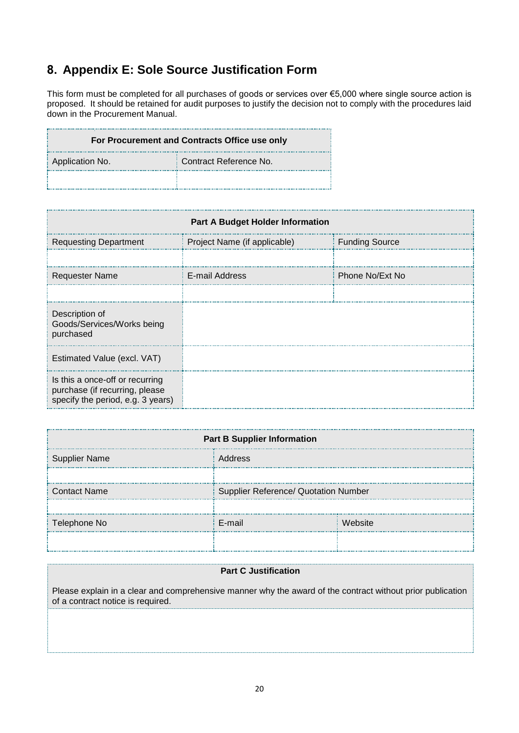# <span id="page-20-0"></span>**8. Appendix E: Sole Source Justification Form**

This form must be completed for all purchases of goods or services over €5,000 where single source action is proposed. It should be retained for audit purposes to justify the decision not to comply with the procedures laid down in the Procurement Manual.

| For Procurement and Contracts Office use only |                        |  |  |  |
|-----------------------------------------------|------------------------|--|--|--|
| Application No.                               | Contract Reference No. |  |  |  |
|                                               |                        |  |  |  |

| <b>Part A Budget Holder Information</b>                                                                |                              |                       |  |  |  |
|--------------------------------------------------------------------------------------------------------|------------------------------|-----------------------|--|--|--|
| <b>Requesting Department</b>                                                                           | Project Name (if applicable) | <b>Funding Source</b> |  |  |  |
|                                                                                                        |                              |                       |  |  |  |
| <b>Requester Name</b>                                                                                  | E-mail Address               | Phone No/Ext No       |  |  |  |
|                                                                                                        |                              |                       |  |  |  |
| Description of<br>Goods/Services/Works being<br>purchased                                              |                              |                       |  |  |  |
| Estimated Value (excl. VAT)                                                                            |                              |                       |  |  |  |
| Is this a once-off or recurring<br>purchase (if recurring, please<br>specify the period, e.g. 3 years) |                              |                       |  |  |  |

| <b>Part B Supplier Information</b>                          |         |         |  |  |
|-------------------------------------------------------------|---------|---------|--|--|
| <b>Supplier Name</b>                                        | Address |         |  |  |
|                                                             |         |         |  |  |
| Supplier Reference/ Quotation Number<br><b>Contact Name</b> |         |         |  |  |
|                                                             |         |         |  |  |
| Telephone No                                                | E-mail  | Website |  |  |
|                                                             |         |         |  |  |

#### **Part C Justification**

Please explain in a clear and comprehensive manner why the award of the contract without prior publication of a contract notice is required.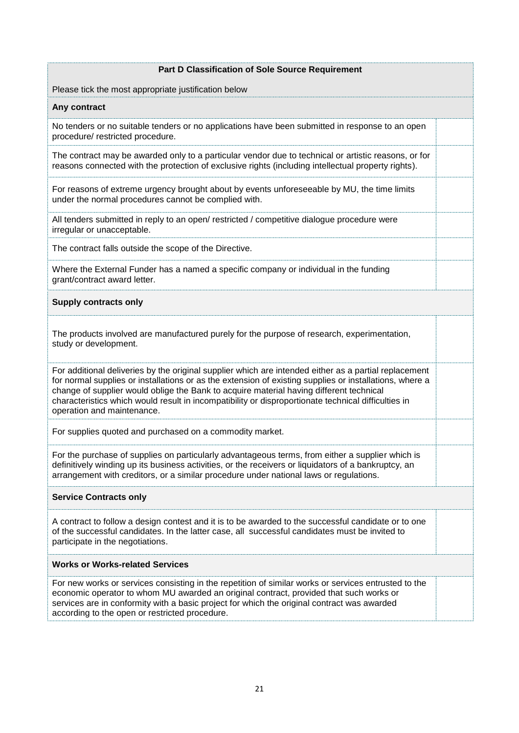#### **Part D Classification of Sole Source Requirement**

Please tick the most appropriate justification below

#### **Any contract**

No tenders or no suitable tenders or no applications have been submitted in response to an open procedure/ restricted procedure.

The contract may be awarded only to a particular vendor due to technical or artistic reasons, or for reasons connected with the protection of exclusive rights (including intellectual property rights).

For reasons of extreme urgency brought about by events unforeseeable by MU, the time limits under the normal procedures cannot be complied with.

All tenders submitted in reply to an open/ restricted / competitive dialogue procedure were irregular or unacceptable.

The contract falls outside the scope of the Directive.

Where the External Funder has a named a specific company or individual in the funding grant/contract award letter.

#### **Supply contracts only**

The products involved are manufactured purely for the purpose of research, experimentation, study or development.

For additional deliveries by the original supplier which are intended either as a partial replacement for normal supplies or installations or as the extension of existing supplies or installations, where a change of supplier would oblige the Bank to acquire material having different technical characteristics which would result in incompatibility or disproportionate technical difficulties in operation and maintenance.

For supplies quoted and purchased on a commodity market.

For the purchase of supplies on particularly advantageous terms, from either a supplier which is definitively winding up its business activities, or the receivers or liquidators of a bankruptcy, an arrangement with creditors, or a similar procedure under national laws or regulations.

#### **Service Contracts only**

A contract to follow a design contest and it is to be awarded to the successful candidate or to one of the successful candidates. In the latter case, all successful candidates must be invited to participate in the negotiations.

#### **Works or Works-related Services**

For new works or services consisting in the repetition of similar works or services entrusted to the economic operator to whom MU awarded an original contract, provided that such works or services are in conformity with a basic project for which the original contract was awarded according to the open or restricted procedure.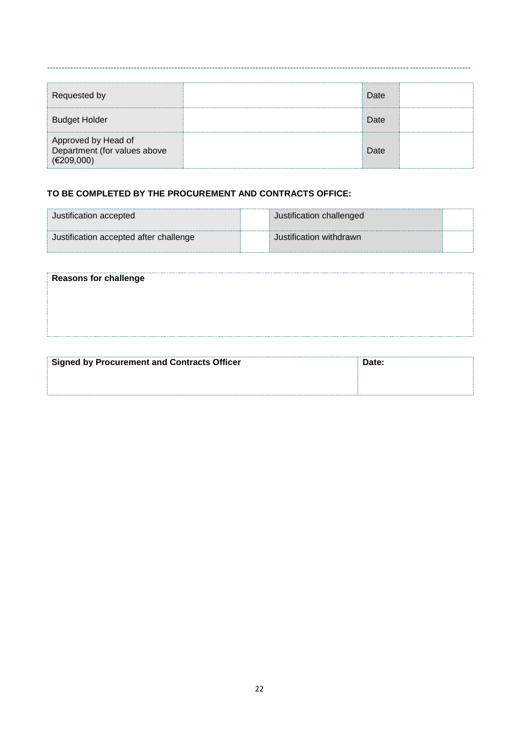| Requested by                                                      | Date |  |
|-------------------------------------------------------------------|------|--|
| <b>Budget Holder</b>                                              | Date |  |
| Approved by Head of<br>Department (for values above<br>(E209,000) | Date |  |

#### **TO BE COMPLETED BY THE PROCUREMENT AND CONTRACTS OFFICE:**

| Justification accepted                 | Justification challenged |  |
|----------------------------------------|--------------------------|--|
| Justification accepted after challenge | Justification withdrawn  |  |

| <b>Reasons for challenge</b> |  |
|------------------------------|--|
|                              |  |
|                              |  |
|                              |  |
|                              |  |

| Signed by Procurement and Contracts Officer | Date: |
|---------------------------------------------|-------|
|                                             |       |
|                                             |       |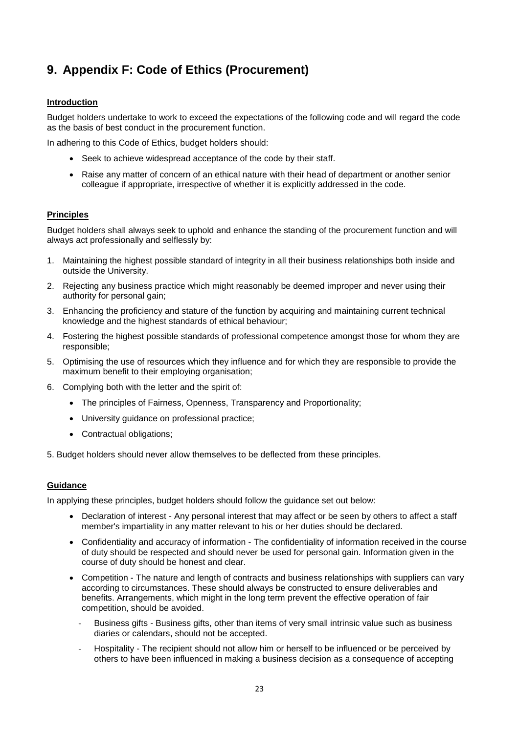# <span id="page-23-0"></span>**9. Appendix F: Code of Ethics (Procurement)**

#### **Introduction**

Budget holders undertake to work to exceed the expectations of the following code and will regard the code as the basis of best conduct in the procurement function.

In adhering to this Code of Ethics, budget holders should:

- Seek to achieve widespread acceptance of the code by their staff.
- Raise any matter of concern of an ethical nature with their head of department or another senior colleague if appropriate, irrespective of whether it is explicitly addressed in the code.

#### **Principles**

Budget holders shall always seek to uphold and enhance the standing of the procurement function and will always act professionally and selflessly by:

- 1. Maintaining the highest possible standard of integrity in all their business relationships both inside and outside the University.
- 2. Rejecting any business practice which might reasonably be deemed improper and never using their authority for personal gain;
- 3. Enhancing the proficiency and stature of the function by acquiring and maintaining current technical knowledge and the highest standards of ethical behaviour;
- 4. Fostering the highest possible standards of professional competence amongst those for whom they are responsible;
- 5. Optimising the use of resources which they influence and for which they are responsible to provide the maximum benefit to their employing organisation;
- 6. Complying both with the letter and the spirit of:
	- The principles of Fairness, Openness, Transparency and Proportionality;
	- University guidance on professional practice;
	- Contractual obligations;

5. Budget holders should never allow themselves to be deflected from these principles.

#### **Guidance**

In applying these principles, budget holders should follow the guidance set out below:

- Declaration of interest Any personal interest that may affect or be seen by others to affect a staff member's impartiality in any matter relevant to his or her duties should be declared.
- Confidentiality and accuracy of information The confidentiality of information received in the course of duty should be respected and should never be used for personal gain. Information given in the course of duty should be honest and clear.
- Competition The nature and length of contracts and business relationships with suppliers can vary according to circumstances. These should always be constructed to ensure deliverables and benefits. Arrangements, which might in the long term prevent the effective operation of fair competition, should be avoided.
	- Business gifts Business gifts, other than items of very small intrinsic value such as business diaries or calendars, should not be accepted.
	- Hospitality The recipient should not allow him or herself to be influenced or be perceived by others to have been influenced in making a business decision as a consequence of accepting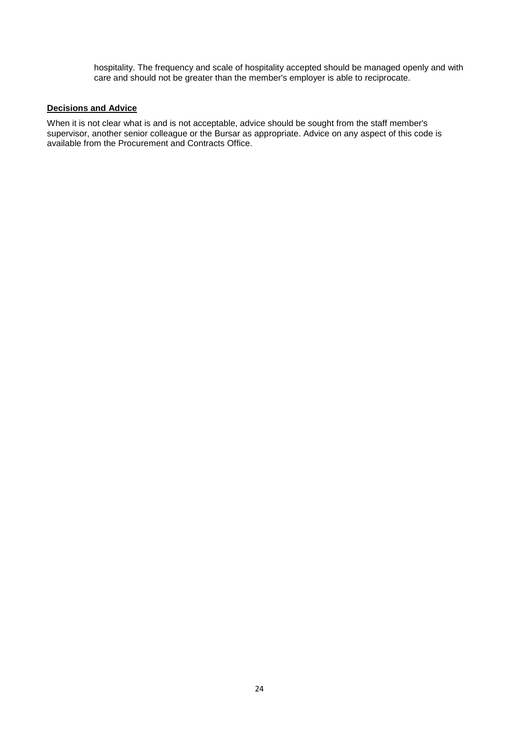hospitality. The frequency and scale of hospitality accepted should be managed openly and with care and should not be greater than the member's employer is able to reciprocate.

#### **Decisions and Advice**

When it is not clear what is and is not acceptable, advice should be sought from the staff member's supervisor, another senior colleague or the Bursar as appropriate. Advice on any aspect of this code is available from the Procurement and Contracts Office.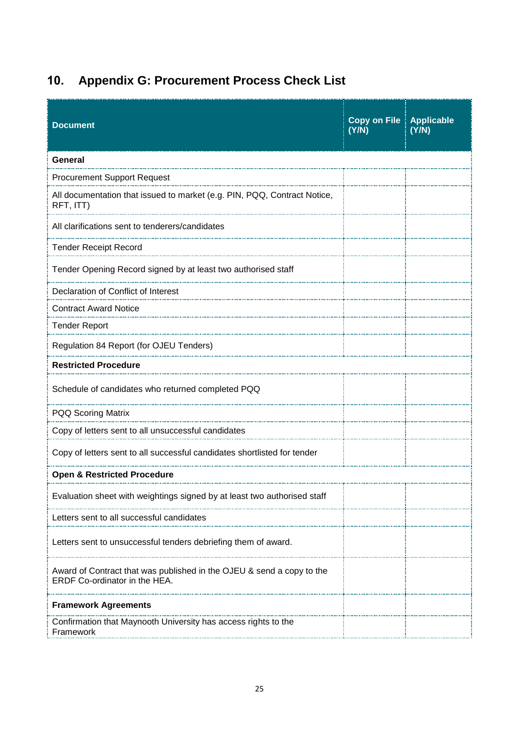# <span id="page-25-0"></span>**10. Appendix G: Procurement Process Check List**

| <b>Document</b>                                                                                        | <b>Copy on File   Applicable</b><br>(Y/N) | (Y/N) |  |
|--------------------------------------------------------------------------------------------------------|-------------------------------------------|-------|--|
| General                                                                                                |                                           |       |  |
| <b>Procurement Support Request</b>                                                                     |                                           |       |  |
| All documentation that issued to market (e.g. PIN, PQQ, Contract Notice,<br>RFT, ITT)                  |                                           |       |  |
| All clarifications sent to tenderers/candidates                                                        |                                           |       |  |
| <b>Tender Receipt Record</b>                                                                           |                                           |       |  |
| Tender Opening Record signed by at least two authorised staff                                          |                                           |       |  |
| Declaration of Conflict of Interest                                                                    |                                           |       |  |
| <b>Contract Award Notice</b>                                                                           |                                           |       |  |
| <b>Tender Report</b>                                                                                   |                                           |       |  |
| Regulation 84 Report (for OJEU Tenders)                                                                |                                           |       |  |
| <b>Restricted Procedure</b>                                                                            |                                           |       |  |
| Schedule of candidates who returned completed PQQ                                                      |                                           |       |  |
| PQQ Scoring Matrix                                                                                     |                                           |       |  |
| Copy of letters sent to all unsuccessful candidates                                                    |                                           |       |  |
| Copy of letters sent to all successful candidates shortlisted for tender                               |                                           |       |  |
| <b>Open &amp; Restricted Procedure</b>                                                                 |                                           |       |  |
| Evaluation sheet with weightings signed by at least two authorised staff                               |                                           |       |  |
| Letters sent to all successful candidates                                                              |                                           |       |  |
| Letters sent to unsuccessful tenders debriefing them of award.                                         |                                           |       |  |
| Award of Contract that was published in the OJEU & send a copy to the<br>ERDF Co-ordinator in the HEA. |                                           |       |  |
| <b>Framework Agreements</b>                                                                            |                                           |       |  |
| Confirmation that Maynooth University has access rights to the<br>Framework                            |                                           |       |  |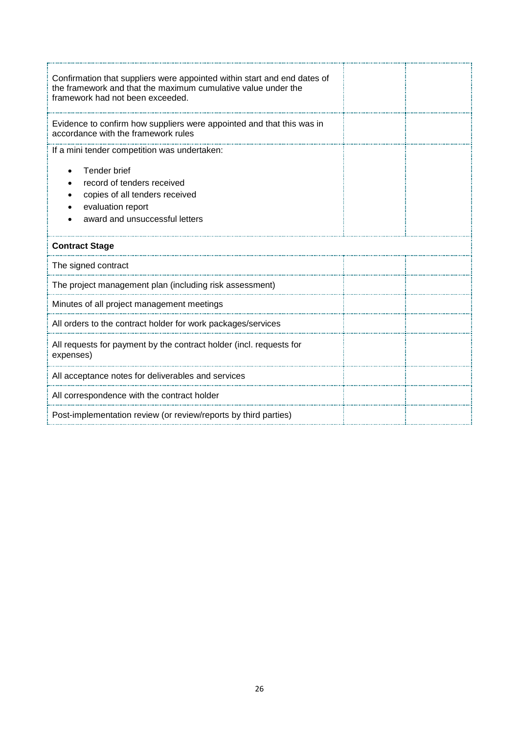| Confirmation that suppliers were appointed within start and end dates of<br>the framework and that the maximum cumulative value under the<br>framework had not been exceeded. |  |
|-------------------------------------------------------------------------------------------------------------------------------------------------------------------------------|--|
| Evidence to confirm how suppliers were appointed and that this was in<br>accordance with the framework rules                                                                  |  |
| If a mini tender competition was undertaken:                                                                                                                                  |  |
| Tender brief<br>record of tenders received<br>copies of all tenders received<br>evaluation report<br>award and unsuccessful letters                                           |  |
| <b>Contract Stage</b>                                                                                                                                                         |  |
| The signed contract                                                                                                                                                           |  |
| The project management plan (including risk assessment)                                                                                                                       |  |
| Minutes of all project management meetings                                                                                                                                    |  |
| All orders to the contract holder for work packages/services                                                                                                                  |  |
| All requests for payment by the contract holder (incl. requests for<br>expenses)                                                                                              |  |
| All acceptance notes for deliverables and services                                                                                                                            |  |
| All correspondence with the contract holder                                                                                                                                   |  |
| Post-implementation review (or review/reports by third parties)                                                                                                               |  |